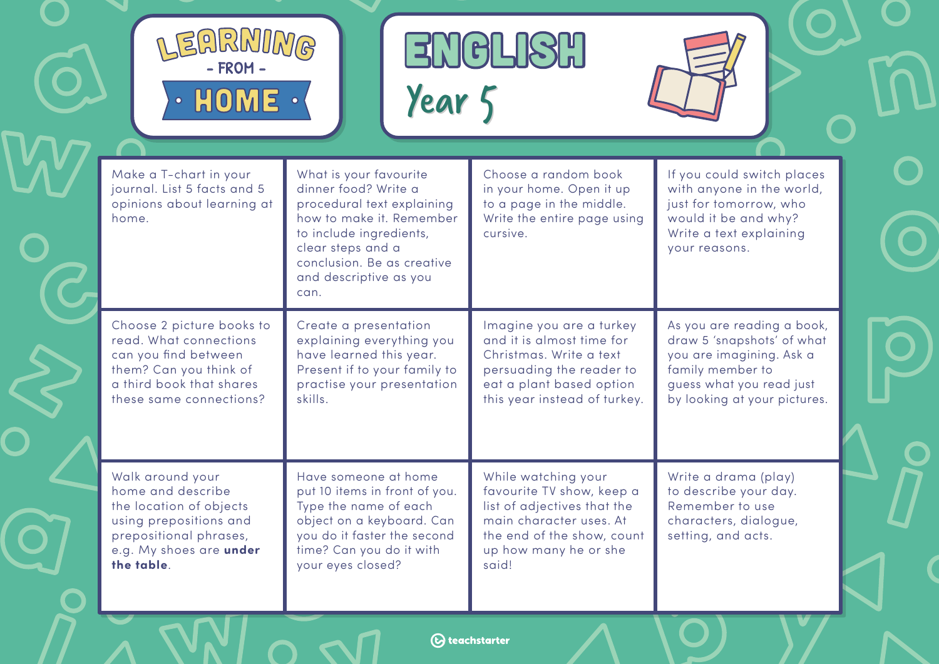

ENGLISH<br>Year 5



| Make a T-chart in your<br>journal. List 5 facts and 5<br>opinions about learning at<br>home.                                                                  | What is your favourite<br>dinner food? Write a<br>procedural text explaining<br>how to make it. Remember<br>to include ingredients,<br>clear steps and a<br>conclusion. Be as creative<br>and descriptive as you<br>can. | Choose a random book<br>in your home. Open it up<br>to a page in the middle.<br>Write the entire page using<br>cursive.                                                    | If you could switch places<br>with anyone in the world,<br>just for tomorrow, who<br>would it be and why?<br>Write a text explaining<br>your reasons.                |
|---------------------------------------------------------------------------------------------------------------------------------------------------------------|--------------------------------------------------------------------------------------------------------------------------------------------------------------------------------------------------------------------------|----------------------------------------------------------------------------------------------------------------------------------------------------------------------------|----------------------------------------------------------------------------------------------------------------------------------------------------------------------|
| Choose 2 picture books to<br>read. What connections<br>can you find between<br>them? Can you think of<br>a third book that shares<br>these same connections?  | Create a presentation<br>explaining everything you<br>have learned this year.<br>Present if to your family to<br>practise your presentation<br>skills.                                                                   | Imagine you are a turkey<br>and it is almost time for<br>Christmas, Write a text<br>persuading the reader to<br>eat a plant based option<br>this year instead of turkey.   | As you are reading a book,<br>draw 5 'snapshots' of what<br>you are imagining. Ask a<br>family member to<br>guess what you read just<br>by looking at your pictures. |
| Walk around your<br>home and describe<br>the location of objects<br>using prepositions and<br>prepositional phrases,<br>e.g. My shoes are under<br>the table. | Have someone at home<br>put 10 items in front of you.<br>Type the name of each<br>object on a keyboard. Can<br>you do it faster the second<br>time? Can you do it with<br>your eyes closed?                              | While watching your<br>favourite TV show, keep a<br>list of adjectives that the<br>main character uses. At<br>the end of the show, count<br>up how many he or she<br>said! | Write a drama (play)<br>to describe your day.<br>Remember to use<br>characters, dialogue,<br>setting, and acts.                                                      |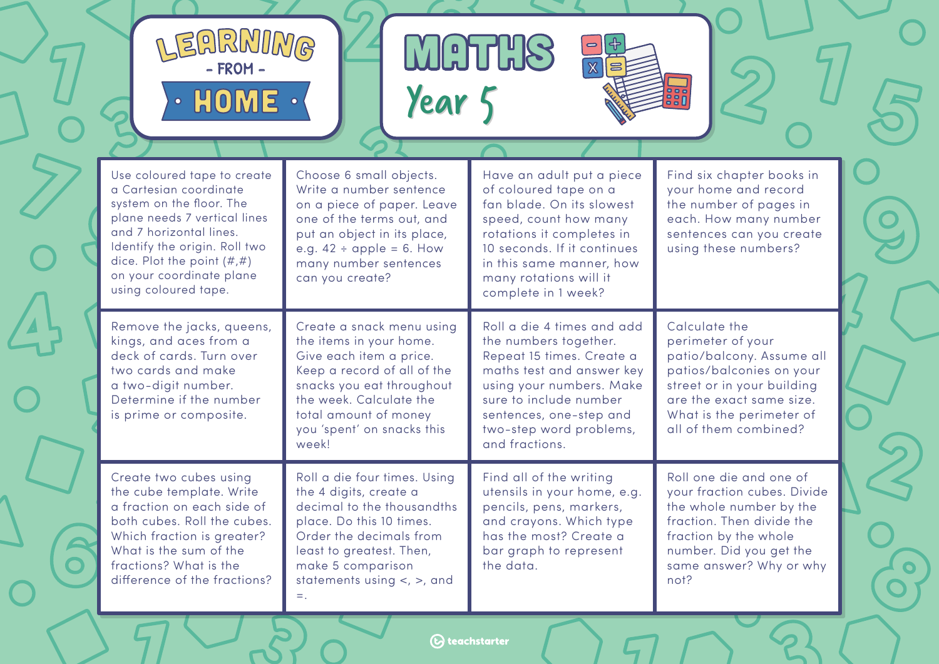

 $HOME \cdot \langle$ EARMIMG

 $\bullet$ 

MOTHS<br>Year 5



 $\bullet$ 

 $\overline{\phantom{0}}$ 

| Use coloured tape to create<br>a Cartesian coordinate<br>system on the floor. The<br>plane needs 7 vertical lines<br>and 7 horizontal lines.<br>Identify the origin. Roll two<br>dice. Plot the point $(\#,\#)$<br>on your coordinate plane<br>using coloured tape. | Choose 6 small objects.<br>Write a number sentence<br>on a piece of paper. Leave<br>one of the terms out, and<br>put an object in its place,<br>e.g. $42 \div \text{apple} = 6$ . How<br>many number sentences<br>can you create?             | Have an adult put a piece<br>of coloured tape on a<br>fan blade. On its slowest<br>speed, count how many<br>rotations it completes in<br>10 seconds. If it continues<br>in this same manner, how<br>many rotations will it<br>complete in 1 week? | Find six chapter books in<br>your home and record<br>the number of pages in<br>each. How many number<br>sentences can you create<br>using these numbers?                                                   |
|---------------------------------------------------------------------------------------------------------------------------------------------------------------------------------------------------------------------------------------------------------------------|-----------------------------------------------------------------------------------------------------------------------------------------------------------------------------------------------------------------------------------------------|---------------------------------------------------------------------------------------------------------------------------------------------------------------------------------------------------------------------------------------------------|------------------------------------------------------------------------------------------------------------------------------------------------------------------------------------------------------------|
| Remove the jacks, queens,<br>kings, and aces from a<br>deck of cards. Turn over<br>two cards and make<br>a two-digit number.<br>Determine if the number<br>is prime or composite.                                                                                   | Create a snack menu using<br>the items in your home.<br>Give each item a price.<br>Keep a record of all of the<br>snacks you eat throughout<br>the week. Calculate the<br>total amount of money<br>you 'spent' on snacks this<br>week!        | Roll a die 4 times and add<br>the numbers together.<br>Repeat 15 times. Create a<br>maths test and answer key<br>using your numbers. Make<br>sure to include number<br>sentences, one-step and<br>two-step word problems,<br>and fractions.       | Calculate the<br>perimeter of your<br>patio/balcony. Assume all<br>patios/balconies on your<br>street or in your building<br>are the exact same size.<br>What is the perimeter of<br>all of them combined? |
| Create two cubes using<br>the cube template. Write<br>a fraction on each side of<br>both cubes. Roll the cubes.<br>Which fraction is greater?<br>What is the sum of the<br>fractions? What is the<br>difference of the fractions?                                   | Roll a die four times. Using<br>the 4 digits, create a<br>decimal to the thousandths<br>place. Do this 10 times.<br>Order the decimals from<br>least to greatest. Then,<br>make 5 comparison<br>statements using $\lt$ , $\gt$ , and<br>$=$ . | Find all of the writing<br>utensils in your home, e.g.<br>pencils, pens, markers,<br>and crayons. Which type<br>has the most? Create a<br>bar graph to represent<br>the data.                                                                     | Roll one die and one of<br>your fraction cubes. Divide<br>the whole number by the<br>fraction. Then divide the<br>fraction by the whole<br>number. Did you get the<br>same answer? Why or why<br>not?      |

**(b)** teachstarter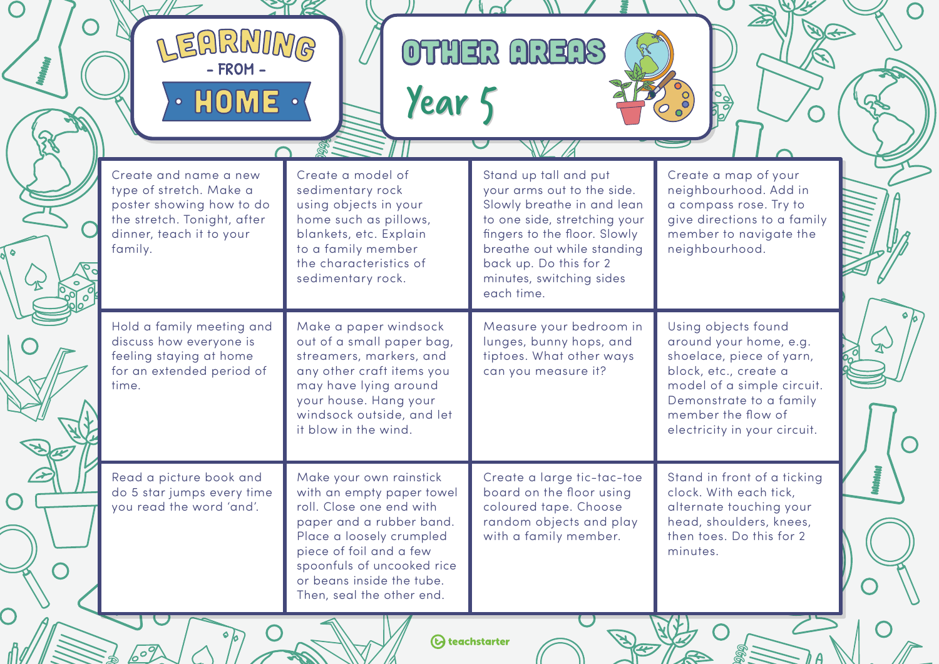| SHIKINILIWG<br>$\cdot$ HOME $\cdot$                                                                                                                | Year 5                                                                                                                                                                                                                                                      | OTHER AREAS                                                                                                                                                                                                                                         |                                                                                                                                                                                                                   |
|----------------------------------------------------------------------------------------------------------------------------------------------------|-------------------------------------------------------------------------------------------------------------------------------------------------------------------------------------------------------------------------------------------------------------|-----------------------------------------------------------------------------------------------------------------------------------------------------------------------------------------------------------------------------------------------------|-------------------------------------------------------------------------------------------------------------------------------------------------------------------------------------------------------------------|
| Create and name a new<br>type of stretch. Make a<br>poster showing how to do<br>the stretch. Tonight, after<br>dinner, teach it to your<br>family. | Create a model of<br>sedimentary rock<br>using objects in your<br>home such as pillows,<br>blankets, etc. Explain<br>to a family member<br>the characteristics of<br>sedimentary rock.                                                                      | Stand up tall and put<br>your arms out to the side.<br>Slowly breathe in and lean<br>to one side, stretching your<br>fingers to the floor. Slowly<br>breathe out while standing<br>back up. Do this for 2<br>minutes, switching sides<br>each time. | Create a map of your<br>neighbourhood. Add in<br>a compass rose. Try to<br>give directions to a family<br>member to navigate the<br>neighbourhood.                                                                |
| Hold a family meeting and<br>discuss how everyone is<br>feeling staying at home<br>for an extended period of<br>time.                              | Make a paper windsock<br>out of a small paper bag,<br>streamers, markers, and<br>any other craft items you<br>may have lying around<br>your house. Hang your<br>windsock outside, and let<br>it blow in the wind.                                           | Measure your bedroom in<br>lunges, bunny hops, and<br>tiptoes. What other ways<br>can you measure it?                                                                                                                                               | Using objects found<br>around your home, e.g.<br>shoelace, piece of yarn,<br>block, etc., create a<br>model of a simple circuit.<br>Demonstrate to a family<br>member the flow of<br>electricity in your circuit. |
| Read a picture book and<br>do 5 star jumps every time<br>you read the word 'and'.                                                                  | Make your own rainstick<br>with an empty paper towel<br>roll. Close one end with<br>paper and a rubber band.<br>Place a loosely crumpled<br>piece of foil and a few<br>spoonfuls of uncooked rice<br>or beans inside the tube.<br>Then, seal the other end. | Create a large tic-tac-toe<br>board on the floor using<br>coloured tape. Choose<br>random objects and play<br>with a family member.                                                                                                                 | Stand in front of a ticking<br>clock. With each tick,<br>alternate touching your<br>head, shoulders, knees,<br>then toes. Do this for 2<br>minutes.                                                               |

 $\bigcap$ 

 $\sqrt{2}$ 

 $h$ A

W

E

<u>K</u>

 $\bigcirc$ 

H

 $\overline{O}$ 

 $\curvearrowright$ 

60%

*O* teachstarter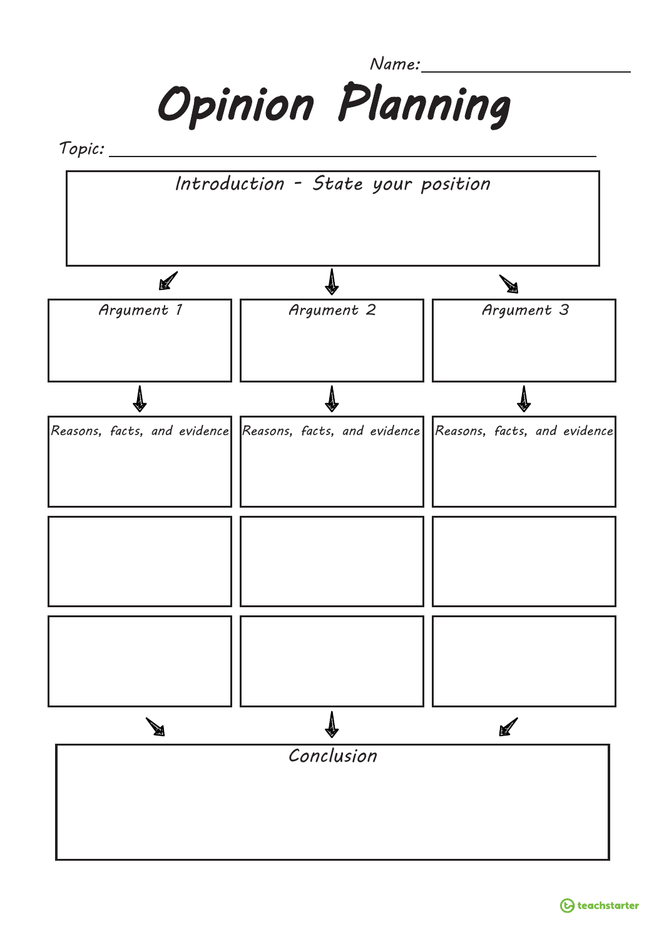*Name:*



*Topic:*

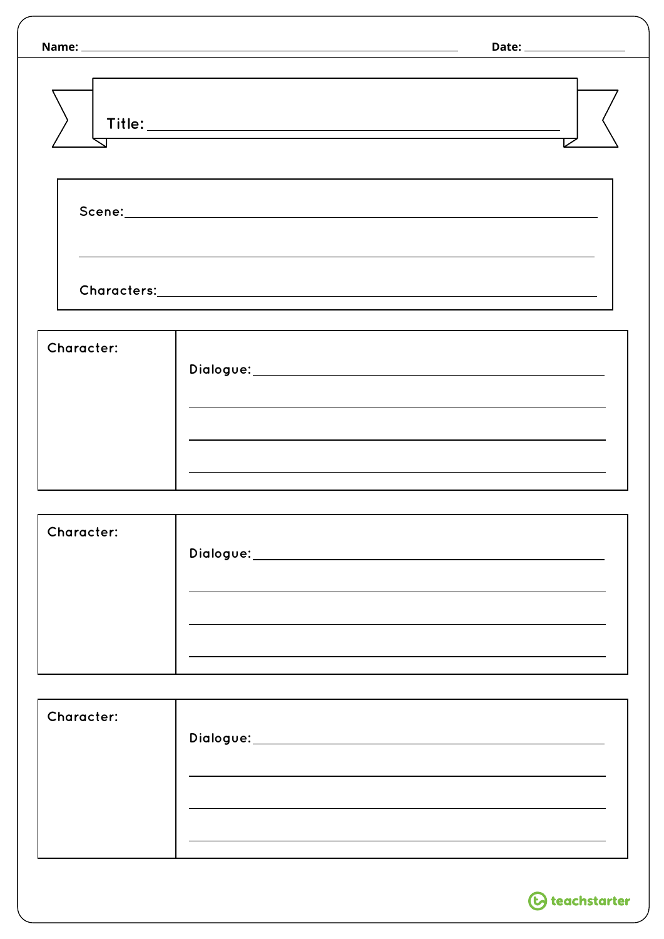|                   | Date: __________________                                                         |
|-------------------|----------------------------------------------------------------------------------|
|                   |                                                                                  |
|                   | ,我们也不会有什么。""我们的人,我们也不会有什么?""我们的人,我们也不会有什么?""我们的人,我们也不会有什么?""我们的人,我们也不会有什么?""我们的人 |
|                   |                                                                                  |
| <b>Character:</b> | ,我们也不会有什么。""我们的人,我们也不会有什么?""我们的人,我们也不会有什么?""我们的人,我们也不会有什么?""我们的人,我们也不会有什么?""我们的人 |
|                   |                                                                                  |
| <b>Character:</b> |                                                                                  |
|                   |                                                                                  |
| <b>Character:</b> |                                                                                  |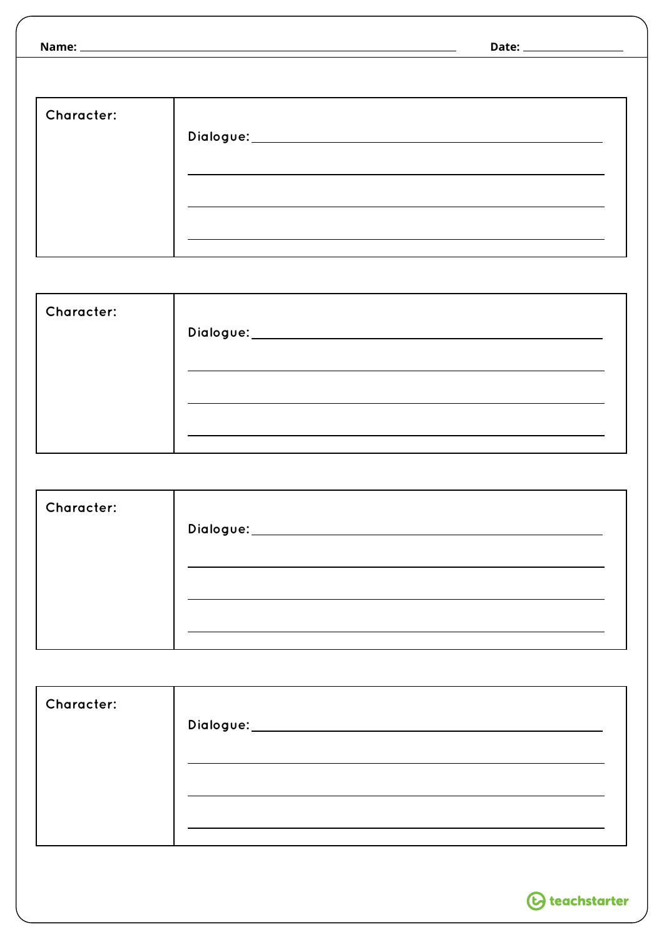|                   | Date: ___________________ |
|-------------------|---------------------------|
|                   |                           |
| <b>Character:</b> |                           |

| <b>Character:</b> |                                |
|-------------------|--------------------------------|
|                   | Dialogue:_____________________ |
|                   |                                |
|                   |                                |
|                   |                                |
|                   |                                |

| <b>Character:</b> |                                            |
|-------------------|--------------------------------------------|
|                   | Dialogue:_________________________________ |
|                   |                                            |
|                   |                                            |
|                   |                                            |
|                   |                                            |

| <b>Character:</b> |                               |
|-------------------|-------------------------------|
|                   | Dialogue:____________________ |
|                   |                               |
|                   |                               |
|                   |                               |
|                   |                               |

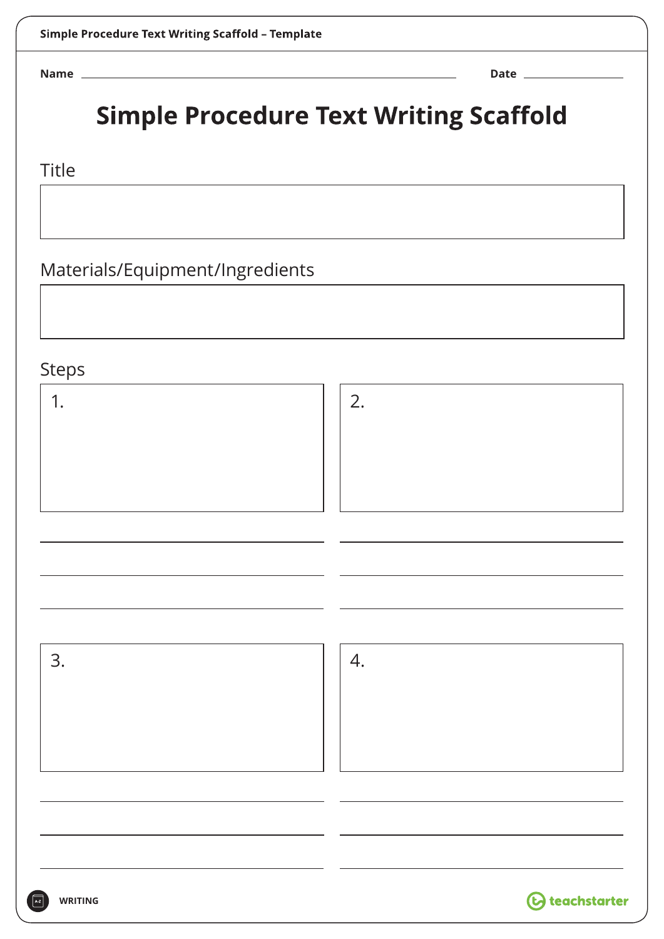**Name Date**

## **Simple Procedure Text Writing Scaffold**

## Title

Materials/Equipment/Ingredients

## **Steps**

| schn             |                         |
|------------------|-------------------------|
| $\overline{1}$ . | 2.                      |
|                  |                         |
|                  |                         |
|                  |                         |
|                  |                         |
|                  |                         |
| 3.               | 4.                      |
|                  |                         |
|                  |                         |
|                  |                         |
|                  |                         |
|                  |                         |
| WRITING          | <b>(b)</b> teachstarter |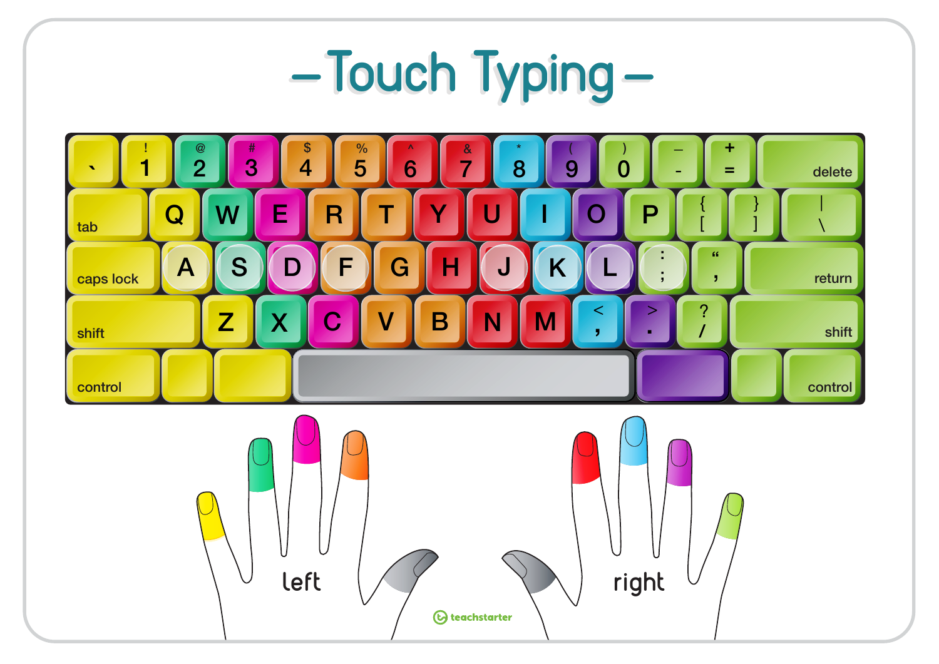